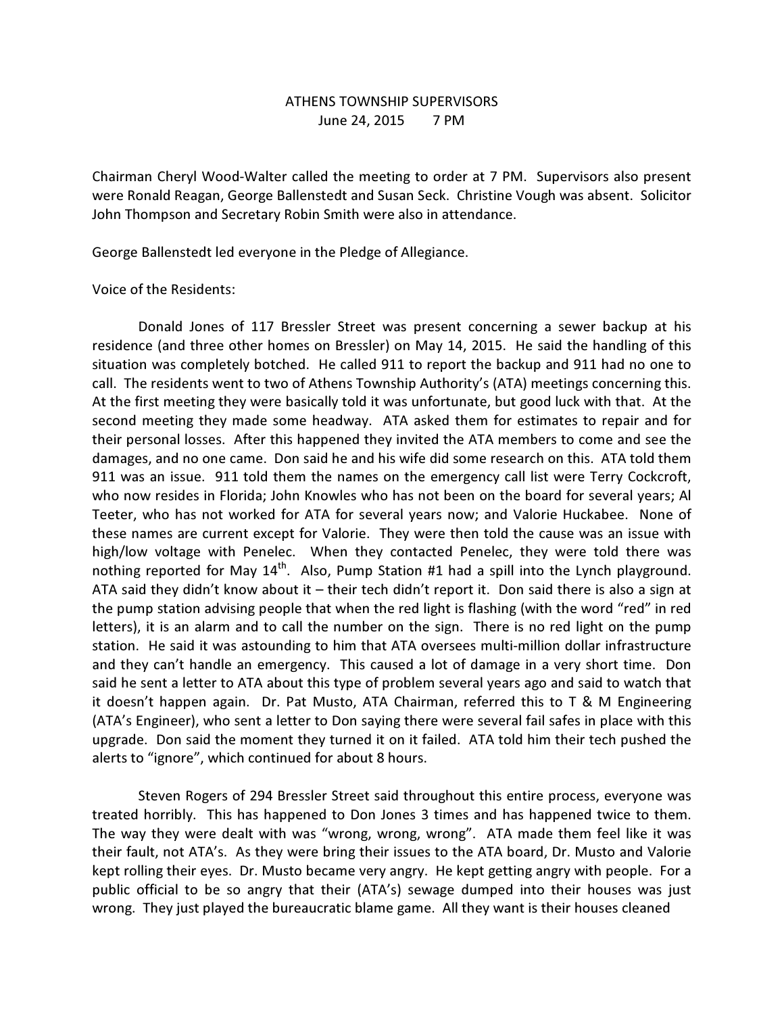## ATHENS TOWNSHIP SUPERVISORS June 24, 2015 7 PM

Chairman Cheryl Wood-Walter called the meeting to order at 7 PM. Supervisors also present were Ronald Reagan, George Ballenstedt and Susan Seck. Christine Vough was absent. Solicitor John Thompson and Secretary Robin Smith were also in attendance.

George Ballenstedt led everyone in the Pledge of Allegiance.

## Voice of the Residents:

 Donald Jones of 117 Bressler Street was present concerning a sewer backup at his residence (and three other homes on Bressler) on May 14, 2015. He said the handling of this situation was completely botched. He called 911 to report the backup and 911 had no one to call. The residents went to two of Athens Township Authority's (ATA) meetings concerning this. At the first meeting they were basically told it was unfortunate, but good luck with that. At the second meeting they made some headway. ATA asked them for estimates to repair and for their personal losses. After this happened they invited the ATA members to come and see the damages, and no one came. Don said he and his wife did some research on this. ATA told them 911 was an issue. 911 told them the names on the emergency call list were Terry Cockcroft, who now resides in Florida; John Knowles who has not been on the board for several years; Al Teeter, who has not worked for ATA for several years now; and Valorie Huckabee. None of these names are current except for Valorie. They were then told the cause was an issue with high/low voltage with Penelec. When they contacted Penelec, they were told there was nothing reported for May 14<sup>th</sup>. Also, Pump Station #1 had a spill into the Lynch playground. ATA said they didn't know about it – their tech didn't report it. Don said there is also a sign at the pump station advising people that when the red light is flashing (with the word "red" in red letters), it is an alarm and to call the number on the sign. There is no red light on the pump station. He said it was astounding to him that ATA oversees multi-million dollar infrastructure and they can't handle an emergency. This caused a lot of damage in a very short time. Don said he sent a letter to ATA about this type of problem several years ago and said to watch that it doesn't happen again. Dr. Pat Musto, ATA Chairman, referred this to T & M Engineering (ATA's Engineer), who sent a letter to Don saying there were several fail safes in place with this upgrade. Don said the moment they turned it on it failed. ATA told him their tech pushed the alerts to "ignore", which continued for about 8 hours.

 Steven Rogers of 294 Bressler Street said throughout this entire process, everyone was treated horribly. This has happened to Don Jones 3 times and has happened twice to them. The way they were dealt with was "wrong, wrong, wrong". ATA made them feel like it was their fault, not ATA's. As they were bring their issues to the ATA board, Dr. Musto and Valorie kept rolling their eyes. Dr. Musto became very angry. He kept getting angry with people. For a public official to be so angry that their (ATA's) sewage dumped into their houses was just wrong. They just played the bureaucratic blame game. All they want is their houses cleaned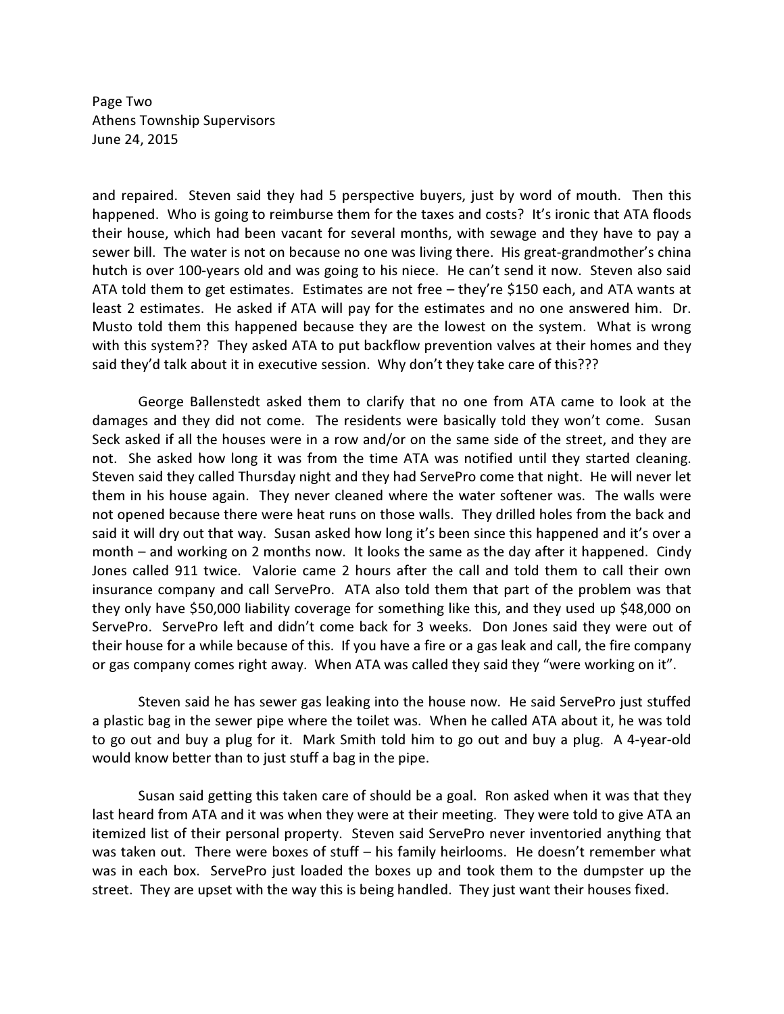Page Two Athens Township Supervisors June 24, 2015

and repaired. Steven said they had 5 perspective buyers, just by word of mouth. Then this happened. Who is going to reimburse them for the taxes and costs? It's ironic that ATA floods their house, which had been vacant for several months, with sewage and they have to pay a sewer bill. The water is not on because no one was living there. His great-grandmother's china hutch is over 100-years old and was going to his niece. He can't send it now. Steven also said ATA told them to get estimates. Estimates are not free – they're \$150 each, and ATA wants at least 2 estimates. He asked if ATA will pay for the estimates and no one answered him. Dr. Musto told them this happened because they are the lowest on the system. What is wrong with this system?? They asked ATA to put backflow prevention valves at their homes and they said they'd talk about it in executive session. Why don't they take care of this???

 George Ballenstedt asked them to clarify that no one from ATA came to look at the damages and they did not come. The residents were basically told they won't come. Susan Seck asked if all the houses were in a row and/or on the same side of the street, and they are not. She asked how long it was from the time ATA was notified until they started cleaning. Steven said they called Thursday night and they had ServePro come that night. He will never let them in his house again. They never cleaned where the water softener was. The walls were not opened because there were heat runs on those walls. They drilled holes from the back and said it will dry out that way. Susan asked how long it's been since this happened and it's over a month – and working on 2 months now. It looks the same as the day after it happened. Cindy Jones called 911 twice. Valorie came 2 hours after the call and told them to call their own insurance company and call ServePro. ATA also told them that part of the problem was that they only have \$50,000 liability coverage for something like this, and they used up \$48,000 on ServePro. ServePro left and didn't come back for 3 weeks. Don Jones said they were out of their house for a while because of this. If you have a fire or a gas leak and call, the fire company or gas company comes right away. When ATA was called they said they "were working on it".

 Steven said he has sewer gas leaking into the house now. He said ServePro just stuffed a plastic bag in the sewer pipe where the toilet was. When he called ATA about it, he was told to go out and buy a plug for it. Mark Smith told him to go out and buy a plug. A 4-year-old would know better than to just stuff a bag in the pipe.

 Susan said getting this taken care of should be a goal. Ron asked when it was that they last heard from ATA and it was when they were at their meeting. They were told to give ATA an itemized list of their personal property. Steven said ServePro never inventoried anything that was taken out. There were boxes of stuff – his family heirlooms. He doesn't remember what was in each box. ServePro just loaded the boxes up and took them to the dumpster up the street. They are upset with the way this is being handled. They just want their houses fixed.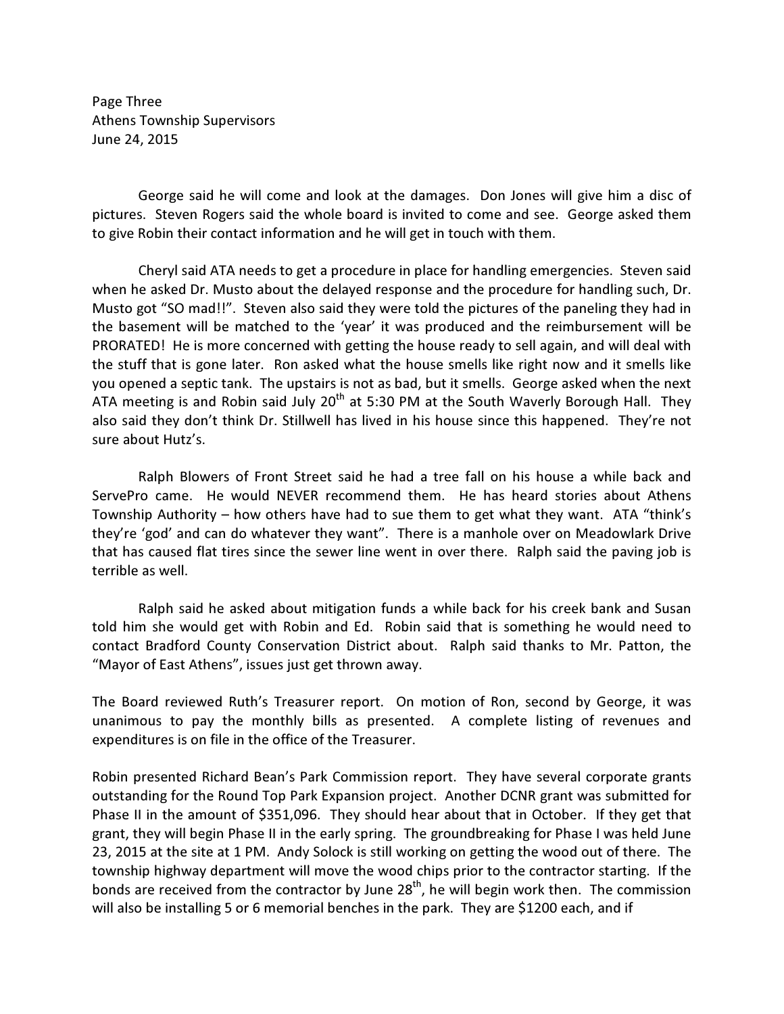Page Three Athens Township Supervisors June 24, 2015

 George said he will come and look at the damages. Don Jones will give him a disc of pictures. Steven Rogers said the whole board is invited to come and see. George asked them to give Robin their contact information and he will get in touch with them.

 Cheryl said ATA needs to get a procedure in place for handling emergencies. Steven said when he asked Dr. Musto about the delayed response and the procedure for handling such, Dr. Musto got "SO mad!!". Steven also said they were told the pictures of the paneling they had in the basement will be matched to the 'year' it was produced and the reimbursement will be PRORATED! He is more concerned with getting the house ready to sell again, and will deal with the stuff that is gone later. Ron asked what the house smells like right now and it smells like you opened a septic tank. The upstairs is not as bad, but it smells. George asked when the next ATA meeting is and Robin said July  $20<sup>th</sup>$  at 5:30 PM at the South Waverly Borough Hall. They also said they don't think Dr. Stillwell has lived in his house since this happened. They're not sure about Hutz's.

 Ralph Blowers of Front Street said he had a tree fall on his house a while back and ServePro came. He would NEVER recommend them. He has heard stories about Athens Township Authority – how others have had to sue them to get what they want. ATA "think's they're 'god' and can do whatever they want". There is a manhole over on Meadowlark Drive that has caused flat tires since the sewer line went in over there. Ralph said the paving job is terrible as well.

 Ralph said he asked about mitigation funds a while back for his creek bank and Susan told him she would get with Robin and Ed. Robin said that is something he would need to contact Bradford County Conservation District about. Ralph said thanks to Mr. Patton, the "Mayor of East Athens", issues just get thrown away.

The Board reviewed Ruth's Treasurer report. On motion of Ron, second by George, it was unanimous to pay the monthly bills as presented. A complete listing of revenues and expenditures is on file in the office of the Treasurer.

Robin presented Richard Bean's Park Commission report. They have several corporate grants outstanding for the Round Top Park Expansion project. Another DCNR grant was submitted for Phase II in the amount of \$351,096. They should hear about that in October. If they get that grant, they will begin Phase II in the early spring. The groundbreaking for Phase I was held June 23, 2015 at the site at 1 PM. Andy Solock is still working on getting the wood out of there. The township highway department will move the wood chips prior to the contractor starting. If the bonds are received from the contractor by June  $28<sup>th</sup>$ , he will begin work then. The commission will also be installing 5 or 6 memorial benches in the park. They are \$1200 each, and if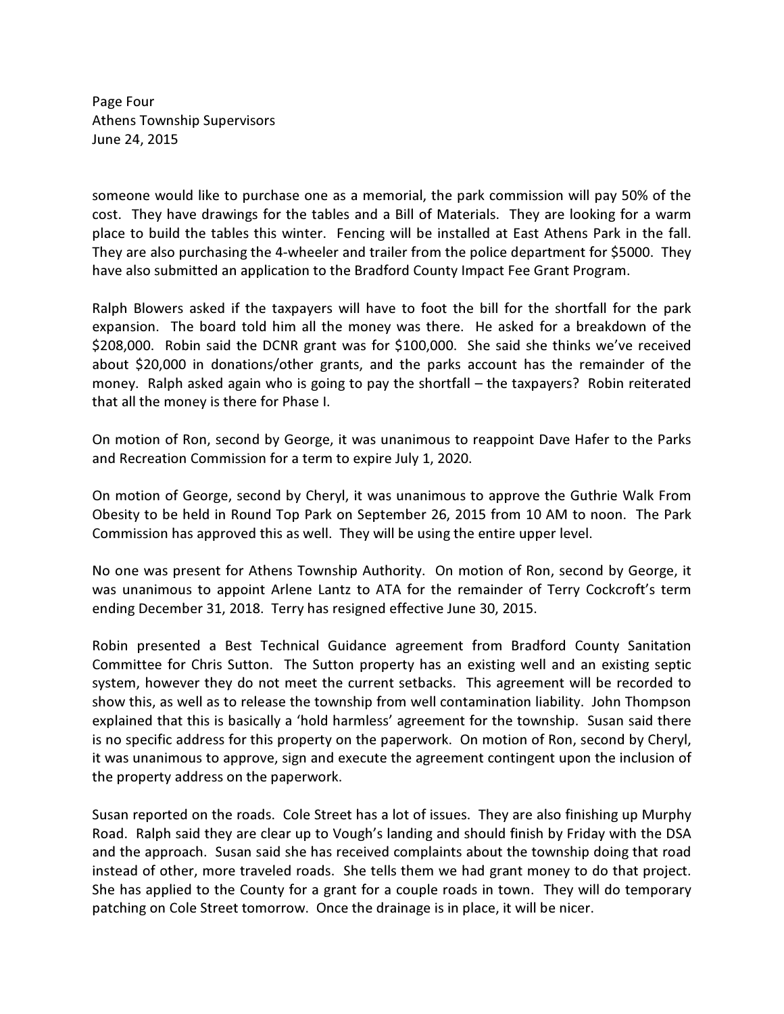Page Four Athens Township Supervisors June 24, 2015

someone would like to purchase one as a memorial, the park commission will pay 50% of the cost. They have drawings for the tables and a Bill of Materials. They are looking for a warm place to build the tables this winter. Fencing will be installed at East Athens Park in the fall. They are also purchasing the 4-wheeler and trailer from the police department for \$5000. They have also submitted an application to the Bradford County Impact Fee Grant Program.

Ralph Blowers asked if the taxpayers will have to foot the bill for the shortfall for the park expansion. The board told him all the money was there. He asked for a breakdown of the \$208,000. Robin said the DCNR grant was for \$100,000. She said she thinks we've received about \$20,000 in donations/other grants, and the parks account has the remainder of the money. Ralph asked again who is going to pay the shortfall – the taxpayers? Robin reiterated that all the money is there for Phase I.

On motion of Ron, second by George, it was unanimous to reappoint Dave Hafer to the Parks and Recreation Commission for a term to expire July 1, 2020.

On motion of George, second by Cheryl, it was unanimous to approve the Guthrie Walk From Obesity to be held in Round Top Park on September 26, 2015 from 10 AM to noon. The Park Commission has approved this as well. They will be using the entire upper level.

No one was present for Athens Township Authority. On motion of Ron, second by George, it was unanimous to appoint Arlene Lantz to ATA for the remainder of Terry Cockcroft's term ending December 31, 2018. Terry has resigned effective June 30, 2015.

Robin presented a Best Technical Guidance agreement from Bradford County Sanitation Committee for Chris Sutton. The Sutton property has an existing well and an existing septic system, however they do not meet the current setbacks. This agreement will be recorded to show this, as well as to release the township from well contamination liability. John Thompson explained that this is basically a 'hold harmless' agreement for the township. Susan said there is no specific address for this property on the paperwork. On motion of Ron, second by Cheryl, it was unanimous to approve, sign and execute the agreement contingent upon the inclusion of the property address on the paperwork.

Susan reported on the roads. Cole Street has a lot of issues. They are also finishing up Murphy Road. Ralph said they are clear up to Vough's landing and should finish by Friday with the DSA and the approach. Susan said she has received complaints about the township doing that road instead of other, more traveled roads. She tells them we had grant money to do that project. She has applied to the County for a grant for a couple roads in town. They will do temporary patching on Cole Street tomorrow. Once the drainage is in place, it will be nicer.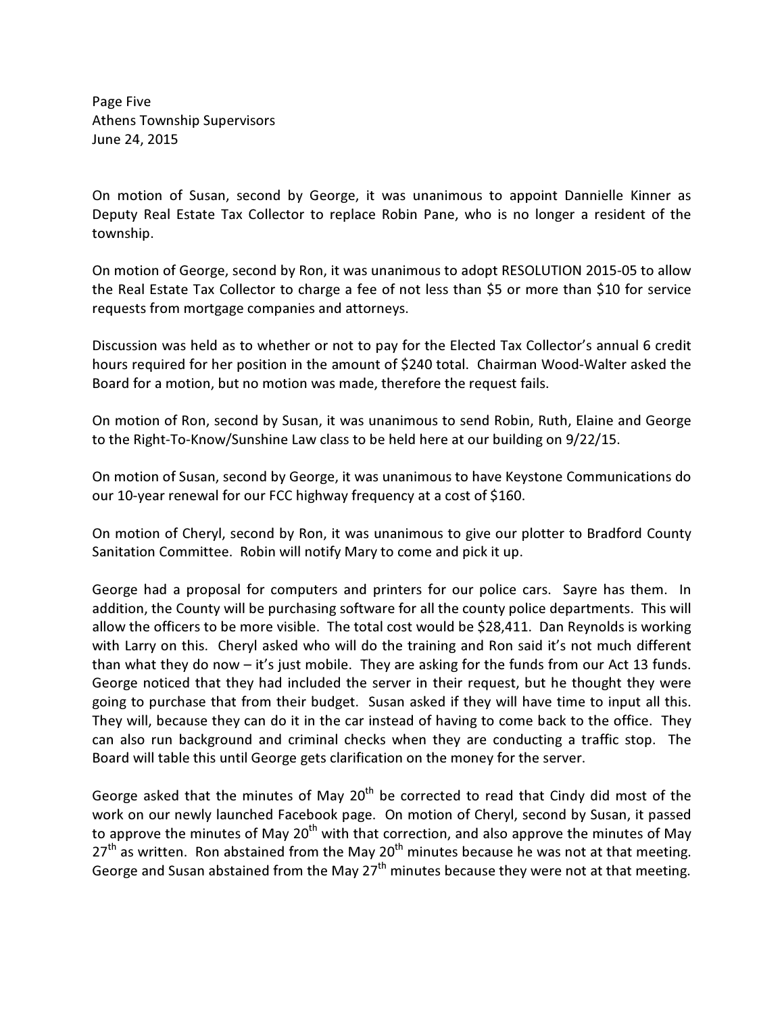Page Five Athens Township Supervisors June 24, 2015

On motion of Susan, second by George, it was unanimous to appoint Dannielle Kinner as Deputy Real Estate Tax Collector to replace Robin Pane, who is no longer a resident of the township.

On motion of George, second by Ron, it was unanimous to adopt RESOLUTION 2015-05 to allow the Real Estate Tax Collector to charge a fee of not less than \$5 or more than \$10 for service requests from mortgage companies and attorneys.

Discussion was held as to whether or not to pay for the Elected Tax Collector's annual 6 credit hours required for her position in the amount of \$240 total. Chairman Wood-Walter asked the Board for a motion, but no motion was made, therefore the request fails.

On motion of Ron, second by Susan, it was unanimous to send Robin, Ruth, Elaine and George to the Right-To-Know/Sunshine Law class to be held here at our building on 9/22/15.

On motion of Susan, second by George, it was unanimous to have Keystone Communications do our 10-year renewal for our FCC highway frequency at a cost of \$160.

On motion of Cheryl, second by Ron, it was unanimous to give our plotter to Bradford County Sanitation Committee. Robin will notify Mary to come and pick it up.

George had a proposal for computers and printers for our police cars. Sayre has them. In addition, the County will be purchasing software for all the county police departments. This will allow the officers to be more visible. The total cost would be \$28,411. Dan Reynolds is working with Larry on this. Cheryl asked who will do the training and Ron said it's not much different than what they do now – it's just mobile. They are asking for the funds from our Act 13 funds. George noticed that they had included the server in their request, but he thought they were going to purchase that from their budget. Susan asked if they will have time to input all this. They will, because they can do it in the car instead of having to come back to the office. They can also run background and criminal checks when they are conducting a traffic stop. The Board will table this until George gets clarification on the money for the server.

George asked that the minutes of May  $20<sup>th</sup>$  be corrected to read that Cindy did most of the work on our newly launched Facebook page. On motion of Cheryl, second by Susan, it passed to approve the minutes of May  $20^{th}$  with that correction, and also approve the minutes of May  $27<sup>th</sup>$  as written. Ron abstained from the May 20<sup>th</sup> minutes because he was not at that meeting. George and Susan abstained from the May  $27<sup>th</sup>$  minutes because they were not at that meeting.